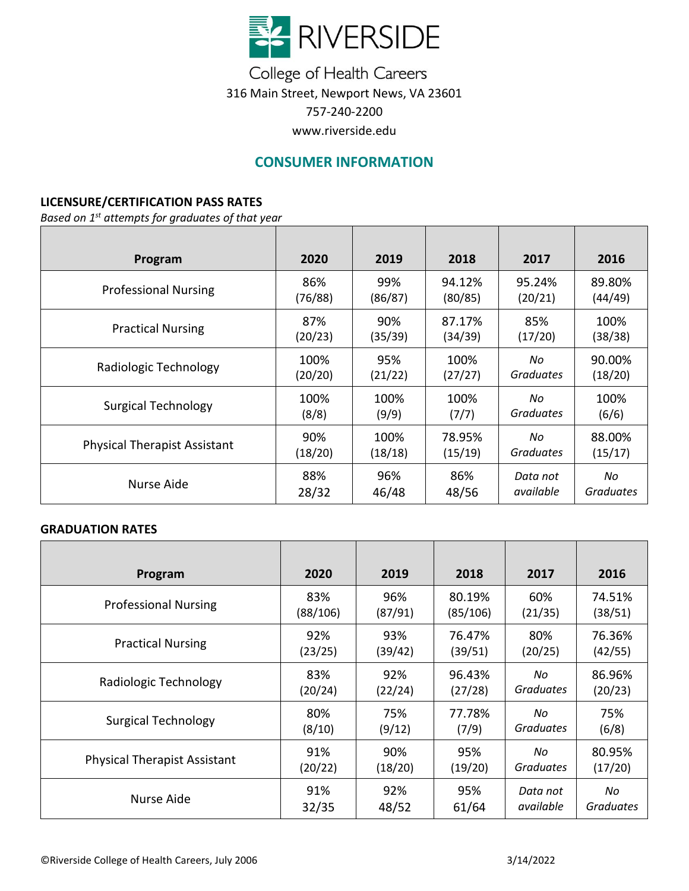

College of Health Careers 316 Main Street, Newport News, VA 23601 757-240-2200 www.riverside.edu

# **CONSUMER INFORMATION**

### **LICENSURE/CERTIFICATION PASS RATES**

*Based on 1 st attempts for graduates of that year*

| Program                             | 2020    | 2019    | 2018    | 2017      | 2016             |
|-------------------------------------|---------|---------|---------|-----------|------------------|
| <b>Professional Nursing</b>         | 86%     | 99%     | 94.12%  | 95.24%    | 89.80%           |
|                                     | (76/88) | (86/87) | (80/85) | (20/21)   | (44/49)          |
| <b>Practical Nursing</b>            | 87%     | 90%     | 87.17%  | 85%       | 100%             |
|                                     | (20/23) | (35/39) | (34/39) | (17/20)   | (38/38)          |
| Radiologic Technology               | 100%    | 95%     | 100%    | No        | 90.00%           |
|                                     | (20/20) | (21/22) | (27/27) | Graduates | (18/20)          |
| <b>Surgical Technology</b>          | 100%    | 100%    | 100%    | No        | 100%             |
|                                     | (8/8)   | (9/9)   | (7/7)   | Graduates | (6/6)            |
| <b>Physical Therapist Assistant</b> | 90%     | 100%    | 78.95%  | No        | 88.00%           |
|                                     | (18/20) | (18/18) | (15/19) | Graduates | (15/17)          |
| Nurse Aide                          | 88%     | 96%     | 86%     | Data not  | No               |
|                                     | 28/32   | 46/48   | 48/56   | available | <b>Graduates</b> |

#### **GRADUATION RATES**

| Program                             | 2020     | 2019    | 2018     | 2017             | 2016             |
|-------------------------------------|----------|---------|----------|------------------|------------------|
| <b>Professional Nursing</b>         | 83%      | 96%     | 80.19%   | 60%              | 74.51%           |
|                                     | (88/106) | (87/91) | (85/106) | (21/35)          | (38/51)          |
| <b>Practical Nursing</b>            | 92%      | 93%     | 76.47%   | 80%              | 76.36%           |
|                                     | (23/25)  | (39/42) | (39/51)  | (20/25)          | (42/55)          |
| Radiologic Technology               | 83%      | 92%     | 96.43%   | No               | 86.96%           |
|                                     | (20/24)  | (22/24) | (27/28)  | <b>Graduates</b> | (20/23)          |
| <b>Surgical Technology</b>          | 80%      | 75%     | 77.78%   | No               | 75%              |
|                                     | (8/10)   | (9/12)  | (7/9)    | <b>Graduates</b> | (6/8)            |
| <b>Physical Therapist Assistant</b> | 91%      | 90%     | 95%      | No               | 80.95%           |
|                                     | (20/22)  | (18/20) | (19/20)  | <b>Graduates</b> | (17/20)          |
| Nurse Aide                          | 91%      | 92%     | 95%      | Data not         | No               |
|                                     | 32/35    | 48/52   | 61/64    | available        | <b>Graduates</b> |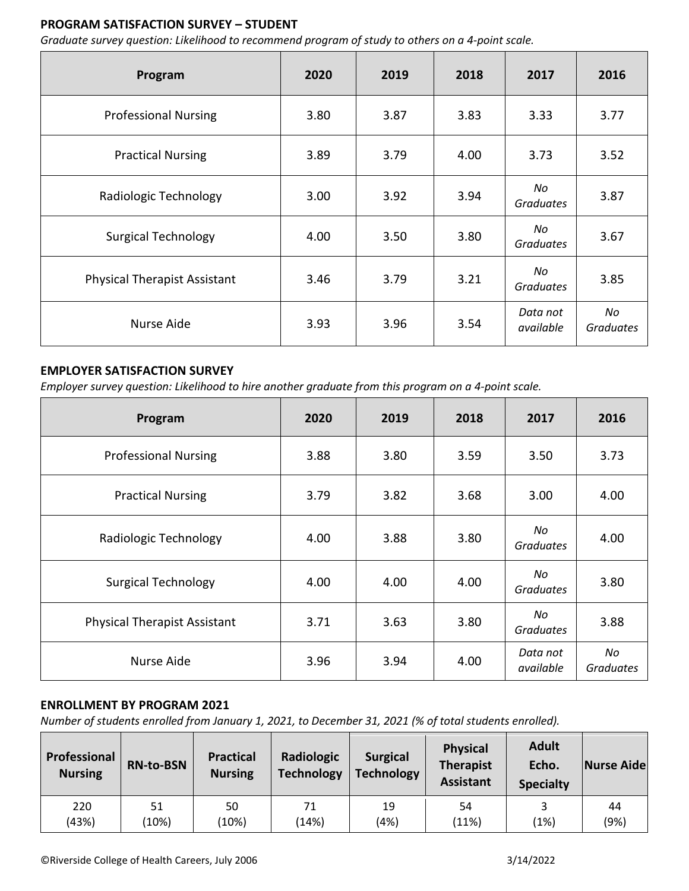## **PROGRAM SATISFACTION SURVEY – STUDENT**

*Graduate survey question: Likelihood to recommend program of study to others on a 4-point scale.*

| Program                             | 2020 | 2019 | 2018 | 2017                   | 2016                   |
|-------------------------------------|------|------|------|------------------------|------------------------|
| <b>Professional Nursing</b>         | 3.80 | 3.87 | 3.83 | 3.33                   | 3.77                   |
| <b>Practical Nursing</b>            | 3.89 | 3.79 | 4.00 | 3.73                   | 3.52                   |
| Radiologic Technology               | 3.00 | 3.92 | 3.94 | No<br><b>Graduates</b> | 3.87                   |
| <b>Surgical Technology</b>          | 4.00 | 3.50 | 3.80 | No<br><b>Graduates</b> | 3.67                   |
| <b>Physical Therapist Assistant</b> | 3.46 | 3.79 | 3.21 | No<br><b>Graduates</b> | 3.85                   |
| Nurse Aide                          | 3.93 | 3.96 | 3.54 | Data not<br>available  | No<br><b>Graduates</b> |

### **EMPLOYER SATISFACTION SURVEY**

*Employer survey question: Likelihood to hire another graduate from this program on a 4-point scale.*

| Program                             | 2020 | 2019 | 2018 | 2017                   | 2016                   |
|-------------------------------------|------|------|------|------------------------|------------------------|
| <b>Professional Nursing</b>         | 3.88 | 3.80 | 3.59 | 3.50                   | 3.73                   |
| <b>Practical Nursing</b>            | 3.79 | 3.82 | 3.68 | 3.00                   | 4.00                   |
| Radiologic Technology               | 4.00 | 3.88 | 3.80 | No<br><b>Graduates</b> | 4.00                   |
| <b>Surgical Technology</b>          | 4.00 | 4.00 | 4.00 | No<br><b>Graduates</b> | 3.80                   |
| <b>Physical Therapist Assistant</b> | 3.71 | 3.63 | 3.80 | No<br><b>Graduates</b> | 3.88                   |
| Nurse Aide                          | 3.96 | 3.94 | 4.00 | Data not<br>available  | No<br><b>Graduates</b> |

### **ENROLLMENT BY PROGRAM 2021**

*Number of students enrolled from January 1, 2021, to December 31, 2021 (% of total students enrolled).* 

| Professional<br><b>Nursing</b> | <b>RN-to-BSN</b> | <b>Practical</b><br><b>Nursing</b> | Radiologic<br><b>Technology</b> | <b>Surgical</b><br><b>Technology</b> | <b>Physical</b><br><b>Therapist</b><br><b>Assistant</b> | <b>Adult</b><br>Echo.<br><b>Specialty</b> | Nurse Aide |
|--------------------------------|------------------|------------------------------------|---------------------------------|--------------------------------------|---------------------------------------------------------|-------------------------------------------|------------|
| 220                            | 51               | 50                                 | 71                              | 19                                   | 54                                                      | (1%)                                      | 44         |
| (43%)                          | (10%)            | (10%)                              | (14%)                           | (4%)                                 | (11%)                                                   |                                           | (9%)       |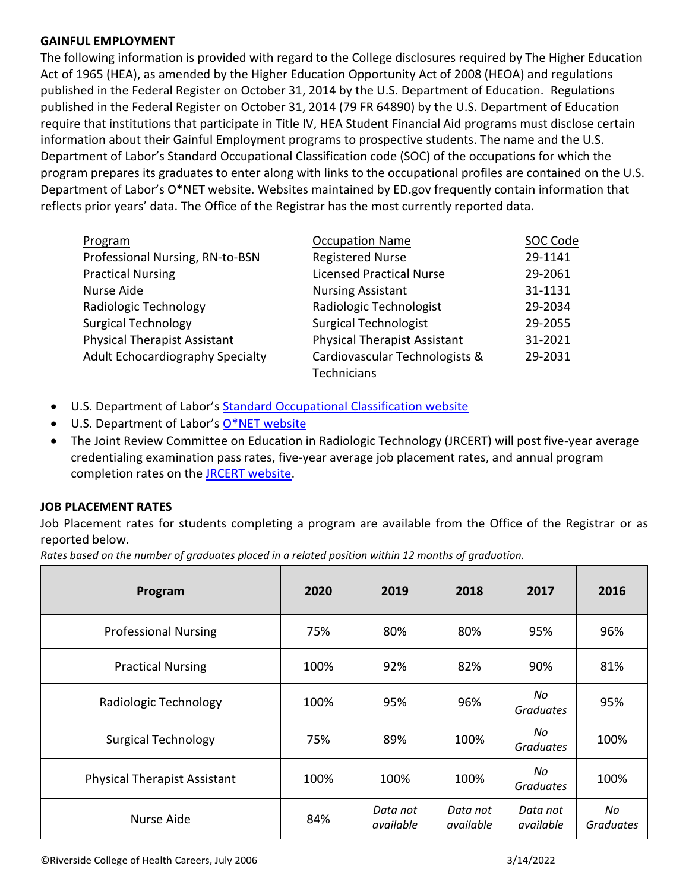### **GAINFUL EMPLOYMENT**

The following information is provided with regard to the College disclosures required by The Higher Education Act of 1965 (HEA), as amended by the Higher Education Opportunity Act of 2008 (HEOA) and regulations published in the Federal Register on October 31, 2014 by the U.S. Department of Education. Regulations published in the Federal Register on October 31, 2014 (79 FR 64890) by the U.S. Department of Education require that institutions that participate in Title IV, HEA Student Financial Aid programs must disclose certain information about their Gainful Employment programs to prospective students. The name and the U.S. Department of Labor's Standard Occupational Classification code (SOC) of the occupations for which the program prepares its graduates to enter along with links to the occupational profiles are contained on the U.S. Department of Labor's O\*NET website. Websites maintained by ED.gov frequently contain information that reflects prior years' data. The Office of the Registrar has the most currently reported data.

| Program                             | <b>Occupation Name</b>              | SOC Code |
|-------------------------------------|-------------------------------------|----------|
| Professional Nursing, RN-to-BSN     | <b>Registered Nurse</b>             | 29-1141  |
| <b>Practical Nursing</b>            | <b>Licensed Practical Nurse</b>     | 29-2061  |
| Nurse Aide                          | <b>Nursing Assistant</b>            | 31-1131  |
| Radiologic Technology               | Radiologic Technologist             | 29-2034  |
| <b>Surgical Technology</b>          | <b>Surgical Technologist</b>        | 29-2055  |
| <b>Physical Therapist Assistant</b> | <b>Physical Therapist Assistant</b> | 31-2021  |
| Adult Echocardiography Specialty    | Cardiovascular Technologists &      | 29-2031  |
|                                     | Technicians                         |          |

- U.S. Department of Labor's [Standard Occupational Classification website](http://www.bls.gov/soc/)
- U.S. Department of Labor's [O\\*NET website](http://www.onetonline.org/find/)
- The Joint Review Committee on Education in Radiologic Technology (JRCERT) will post five-year average credentialing examination pass rates, five-year average job placement rates, and annual program completion rates on the [JRCERT website.](http://www.jrcert.org/)

### **JOB PLACEMENT RATES**

Job Placement rates for students completing a program are available from the Office of the Registrar or as reported below.

*Rates based on the number of graduates placed in a related position within 12 months of graduation.*

| Program                             | 2020 | 2019                  | 2018                  | 2017                   | 2016             |
|-------------------------------------|------|-----------------------|-----------------------|------------------------|------------------|
| <b>Professional Nursing</b>         | 75%  | 80%                   | 80%                   | 95%                    | 96%              |
| <b>Practical Nursing</b>            | 100% | 92%                   | 82%                   | 90%                    | 81%              |
| Radiologic Technology               | 100% | 95%                   | 96%                   | No.<br>Graduates       | 95%              |
| <b>Surgical Technology</b>          | 75%  | 89%                   | 100%                  | No<br><b>Graduates</b> | 100%             |
| <b>Physical Therapist Assistant</b> | 100% | 100%                  | 100%                  | No.<br>Graduates       | 100%             |
| Nurse Aide                          | 84%  | Data not<br>available | Data not<br>available | Data not<br>available  | No.<br>Graduates |